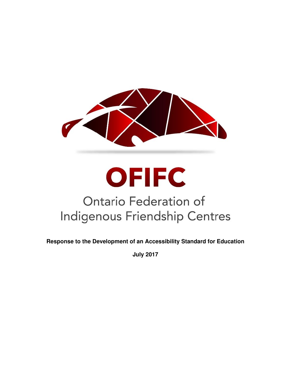

# **OFIFC Ontario Federation of Indigenous Friendship Centres**

**Response to the Development of an Accessibility Standard for Education** 

**July 2017**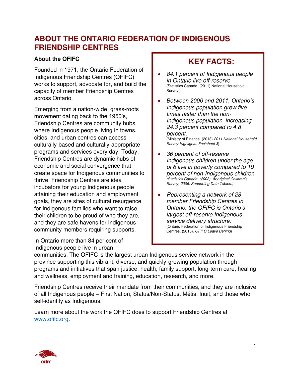## **ABOUT THE ONTARIO FEDERATION OF INDIGENOUS FRIENDSHIP CENTRES**

#### **About the OFIFC**

Founded in 1971, the Ontario Federation of Indigenous Friendship Centres (OFIFC) works to support, advocate for, and build the capacity of member Friendship Centres across Ontario.

Emerging from a nation-wide, grass-roots movement dating back to the 1950's, Friendship Centres are community hubs where Indigenous people living in towns, cities, and urban centres can access culturally-based and culturally-appropriate programs and services every day. Today, Friendship Centres are dynamic hubs of economic and social convergence that create space for Indigenous communities to thrive. Friendship Centres are idea incubators for young Indigenous people attaining their education and employment goals, they are sites of cultural resurgence for Indigenous families who want to raise their children to be proud of who they are, and they are safe havens for Indigenous community members requiring supports.

In Ontario more than 84 per cent of Indigenous people live in urban

## **KEY FACTS:**

- *84.1 percent of Indigenous people in Ontario live off-reserve.* (Statistics Canada. (2011) National Household Survey.)
- *Between 2006 and 2011, Ontario's Indigenous population grew five times faster than the non-Indigenous population, increasing 24.3 percent compared to 4.8 percent.*  (Ministry of Finance. (2013) *2011 National Household Survey Highlights: Factsheet 3*)
- *36 percent of off-reserve Indigenous children under the age of 6 live in poverty compared to 19 percent of non-Indigenous children. (Statistics Canada. (2008). Aboriginal Children's Survey, 2006: Supporting Data Tables.)*
- *Representing a network of 28 member Friendship Centres in Ontario, the OFIFC is Ontario's largest off-reserve Indigenous service delivery structure.* (Ontario Federation of Indigenous Friendship Centres. (2015). *OFIFC Leave Behind*)

communities. The OFIFC is the largest urban Indigenous service network in the province supporting this vibrant, diverse, and quickly-growing population through programs and initiatives that span justice, health, family support, long-term care, healing and wellness, employment and training, education, research, and more.

Friendship Centres receive their mandate from their communities, and they are inclusive of all Indigenous people – First Nation, Status/Non-Status, Métis, Inuit, and those who self-identify as Indigenous.

Learn more about the work the OFIFC does to support Friendship Centres at [www.ofifc.org.](http://www.ofifc.org/)

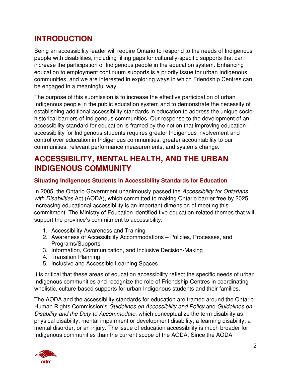# **INTRODUCTION**

Being an accessibility leader will require Ontario to respond to the needs of Indigenous people with disabilities, including filling gaps for culturally-specific supports that can increase the participation of Indigenous people in the education system. Enhancing education to employment continuum supports is a priority issue for urban Indigenous communities, and we are interested in exploring ways in which Friendship Centres can be engaged in a meaningful way.

The purpose of this submission is to increase the effective participation of urban Indigenous people in the public education system and to demonstrate the necessity of establishing additional accessibility standards in education to address the unique sociohistorical barriers of Indigenous communities. Our response to the development of an accessibility standard for education is framed by the notion that improving education accessibility for Indigenous students requires greater Indigenous involvement and control over education in Indigenous communities, greater accountability to our communities, relevant performance measurements, and systems change.

# **ACCESSIBILITY, MENTAL HEALTH, AND THE URBAN INDIGENOUS COMMUNITY**

## **Situating Indigenous Students in Accessibility Standards for Education**

In 2005, the Ontario Government unanimously passed the *Accessibility for Ontarians with Disabilities* Act (AODA), which committed to making Ontario barrier free by 2025. Increasing educational accessibility is an important dimension of meeting this commitment. The Ministry of Education identified five education-related themes that will support the province's commitment to accessibility:

- 1. Accessibility Awareness and Training
- 2. Awareness of Accessibility Accommodations Policies, Processes, and Programs/Supports
- 3. Information, Communication, and Inclusive Decision-Making
- 4. Transition Planning
- 5. Inclusive and Accessible Learning Spaces

It is critical that these areas of education accessibility reflect the specific needs of urban Indigenous communities and recognize the role of Friendship Centres in coordinating wholistic, culture-based supports for urban Indigenous students and their families.

The AODA and the accessibility standards for education are framed around the Ontario Human Rights Commission's *Guidelines on Accessibility and Policy* and *Guidelines on Disability and the Duty to Accommodate*, which conceptualize the term disability as: physical disability; mental impairment or development disability; a learning disability; a mental disorder, or an injury. The issue of education accessibility is much broader for Indigenous communities than the current scope of the AODA. Since the AODA

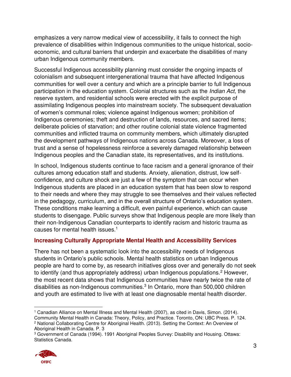emphasizes a very narrow medical view of accessibility, it fails to connect the high prevalence of disabilities within Indigenous communities to the unique historical, socioeconomic, and cultural barriers that underpin and exacerbate the disabilities of many urban Indigenous community members.

Successful Indigenous accessibility planning must consider the ongoing impacts of colonialism and subsequent intergenerational trauma that have affected Indigenous communities for well over a century and which are a principle barrier to full Indigenous participation in the education system. Colonial structures such as the *Indian Act*, the reserve system, and residential schools were erected with the explicit purpose of assimilating Indigenous peoples into mainstream society. The subsequent devaluation of women's communal roles; violence against Indigenous women; prohibition of Indigenous ceremonies; theft and destruction of lands, resources, and sacred items; deliberate policies of starvation; and other routine colonial state violence fragmented communities and inflicted trauma on community members, which ultimately disrupted the development pathways of Indigenous nations across Canada. Moreover, a loss of trust and a sense of hopelessness reinforce a severely damaged relationship between Indigenous peoples and the Canadian state, its representatives, and its institutions.

In school, Indigenous students continue to face racism and a general ignorance of their cultures among education staff and students. Anxiety, alienation, distrust, low selfconfidence, and culture shock are just a few of the symptom that can occur when Indigenous students are placed in an education system that has been slow to respond to their needs and where they may struggle to see themselves and their values reflected in the pedagogy, curriculum, and in the overall structure of Ontario's education system. These conditions make learning a difficult, even painful experience, which can cause students to disengage. Public surveys show that Indigenous people are more likely than their non-Indigenous Canadian counterparts to identify racism and historic trauma as causes for mental health issues.<sup>1</sup>

## **Increasing Culturally Appropriate Mental Health and Accessibility Services**

There has not been a systematic look into the accessibility needs of Indigenous students in Ontario's public schools. Mental health statistics on urban Indigenous people are hard to come by, as research initiatives gloss over and generally do not seek to identify (and thus appropriately address) urban Indigenous populations.<sup>2</sup> However, the most recent data shows that Indigenous communities have nearly twice the rate of disabilities as non-Indigenous communities.<sup>3</sup> In Ontario, more than 500,000 children and youth are estimated to live with at least one diagnosable mental health disorder.

<sup>3</sup> Government of Canada (1994). 1991 Aboriginal Peoples Survey: Disability and Housing. Ottawa: Statistics Canada.



<sup>1</sup> Canadian Alliance on Mental Illness and Mental Health (2007), as cited in Davis, Simon. (2014). Community Mental Health in Canada: Theory, Policy, and Practice. Toronto, ON: UBC Press. P. 124. 2 National Collaborating Centre for Aboriginal Health. (2013). Setting the Context: An Overview of Aboriginal Health in Canada. P. 3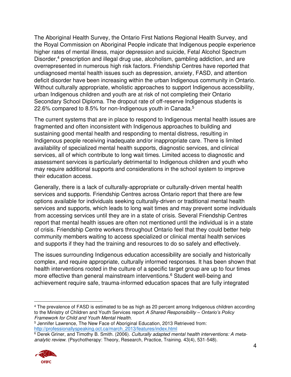The Aboriginal Health Survey, the Ontario First Nations Regional Health Survey, and the Royal Commission on Aboriginal People indicate that Indigenous people experience higher rates of mental illness, major depression and suicide, Fetal Alcohol Spectrum Disorder,<sup>4</sup> prescription and illegal drug use, alcoholism, gambling addiction, and are overrepresented in numerous high risk factors. Friendship Centres have reported that undiagnosed mental health issues such as depression, anxiety, FASD, and attention deficit disorder have been increasing within the urban Indigenous community in Ontario. Without culturally appropriate, wholistic approaches to support Indigenous accessibility, urban Indigenous children and youth are at risk of not completing their Ontario Secondary School Diploma. The dropout rate of off-reserve Indigenous students is 22.6% compared to 8.5% for non-Indigenous youth in Canada.<sup>5</sup>

The current systems that are in place to respond to Indigenous mental health issues are fragmented and often inconsistent with Indigenous approaches to building and sustaining good mental health and responding to mental distress, resulting in Indigenous people receiving inadequate and/or inappropriate care. There is limited availability of specialized mental health supports, diagnostic services, and clinical services, all of which contribute to long wait times. Limited access to diagnostic and assessment services is particularly detrimental to Indigenous children and youth who may require additional supports and considerations in the school system to improve their education access.

Generally, there is a lack of culturally-appropriate or culturally-driven mental health services and supports. Friendship Centres across Ontario report that there are few options available for individuals seeking culturally-driven or traditional mental health services and supports, which leads to long wait times and may prevent some individuals from accessing services until they are in a state of crisis. Several Friendship Centres report that mental health issues are often not mentioned until the individual is in a state of crisis. Friendship Centre workers throughout Ontario feel that they could better help community members waiting to access specialized or clinical mental health services and supports if they had the training and resources to do so safely and effectively.

The issues surrounding Indigenous education accessibility are socially and historically complex, and require appropriate, culturally informed responses. It has been shown that health interventions rooted in the culture of a specific target group are up to four times more effective than general mainstream interventions.<sup>6</sup> Student well-being and achievement require safe, trauma-informed education spaces that are fully integrated

<sup>6</sup> Derek Griner, and Timothy B. Smith. (2006). *Culturally adapted mental health interventions: A metaanalytic review*. (Psychotherapy: Theory, Research, Practice, Training. 43(4), 531-548).



<sup>4</sup> The prevalence of FASD is estimated to be as high as 20 percent among Indigenous children according to the Ministry of Children and Youth Services report *A Shared Responsibility – Ontario's Policy Framework for Child and Youth Mental Health*.

<sup>5</sup> Jennifer Lawrence, The New Face of Aboriginal Education, 2013 Retrieved from: [http://professionallyspeaking.oct.ca/march\\_2013/features/index.html](http://professionallyspeaking.oct.ca/march_2013/features/index.html)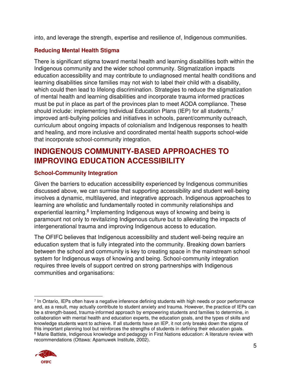into, and leverage the strength, expertise and resilience of, Indigenous communities.

## **Reducing Mental Health Stigma**

There is significant stigma toward mental health and learning disabilities both within the Indigenous community and the wider school community. Stigmatization impacts education accessibility and may contribute to undiagnosed mental health conditions and learning disabilities since families may not wish to label their child with a disability, which could then lead to lifelong discrimination. Strategies to reduce the stigmatization of mental health and learning disabilities and incorporate trauma informed practices must be put in place as part of the provinces plan to meet AODA compliance. These should include: implementing Individual Education Plans (IEP) for all students,<sup>7</sup> improved anti-bullying policies and initiatives in schools, parent/community outreach, curriculum about ongoing impacts of colonialism and Indigenous responses to health and healing, and more inclusive and coordinated mental health supports school-wide that incorporate school-community integration.

# **INDIGENOUS COMMUNITY-BASED APPROACHES TO IMPROVING EDUCATION ACCESSIBILITY**

## **School-Community Integration**

Given the barriers to education accessibility experienced by Indigenous communities discussed above, we can surmise that supporting accessibility and student well-being involves a dynamic, multilayered, and integrative approach. Indigenous approaches to learning are wholistic and fundamentally rooted in community relationships and experiential learning.<sup>8</sup> Implementing Indigenous ways of knowing and being is paramount not only to revitalizing Indigenous culture but to alleviating the impacts of intergenerational trauma and improving Indigenous access to education.

The OFIFC believes that Indigenous accessibility and student well-being require an education system that is fully integrated into the community. Breaking down barriers between the school and community is key to creating space in the mainstream school system for Indigenous ways of knowing and being. School-community integration requires three levels of support centred on strong partnerships with Indigenous communities and organisations:

<sup>7</sup> In Ontario, IEPs often have a negative inference defining students with high needs or poor performance and, as a result, may actually contribute to student anxiety and trauma. However, the practice of IEPs can be a strength-based, trauma-informed approach by empowering students and families to determine, in collaboration with mental health and education experts, the education goals, and the types of skills and knowledge students want to achieve. If all students have an IEP, it not only breaks down the stigma of this important planning tool but reinforces the strengths of students in defining their education goals. <sup>8</sup> Marie Battiste, Indigenous knowledge and pedagogy in First Nations education: A literature review with recommendations (Ottawa: Apamuwek Institute, 2002).

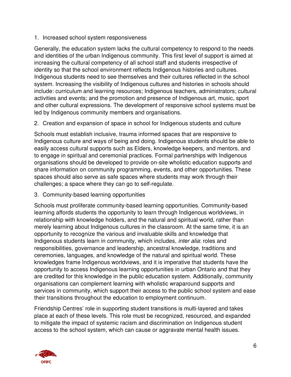1. Increased school system responsiveness

Generally, the education system lacks the cultural competency to respond to the needs and identities of the urban Indigenous community. This first level of support is aimed at increasing the cultural competency of all school staff and students irrespective of identity so that the school environment reflects Indigenous histories and cultures. Indigenous students need to see themselves and their cultures reflected in the school system. Increasing the visibility of Indigenous cultures and histories in schools should include: curriculum and learning resources; Indigenous teachers, administrators; cultural activities and events; and the promotion and presence of Indigenous art, music, sport and other cultural expressions. The development of responsive school systems must be led by Indigenous community members and organisations.

2. Creation and expansion of space in school for Indigenous students and culture

Schools must establish inclusive, trauma informed spaces that are responsive to Indigenous culture and ways of being and doing. Indigenous students should be able to easily access cultural supports such as Elders, knowledge keepers, and mentors, and to engage in spiritual and ceremonial practices. Formal partnerships with Indigenous organisations should be developed to provide on-site wholistic education supports and share information on community programming, events, and other opportunities. These spaces should also serve as safe spaces where students may work through their challenges; a space where they can go to self-regulate.

3. Community-based learning opportunities

Schools must proliferate community-based learning opportunities. Community-based learning affords students the opportunity to learn through Indigenous worldviews, in relationship with knowledge holders, and the natural and spiritual world, rather than merely learning about Indigenous cultures in the classroom. At the same time, it is an opportunity to recognize the various and invaluable skills and knowledge that Indigenous students learn in community, which includes, *inter alia*: roles and responsibilities, governance and leadership, ancestral knowledge, traditions and ceremonies, languages, and knowledge of the natural and spiritual world. These knowledges frame Indigenous worldviews, and it is imperative that students have the opportunity to access Indigenous learning opportunities in urban Ontario and that they are credited for this knowledge in the public education system. Additionally, community organisations can complement learning with wholistic wraparound supports and services in community, which support their access to the public school system and ease their transitions throughout the education to employment continuum.

Friendship Centres' role in supporting student transitions is multi-layered and takes place at each of these levels. This role must be recognized, resourced, and expanded to mitigate the impact of systemic racism and discrimination on Indigenous student access to the school system, which can cause or aggravate mental health issues.

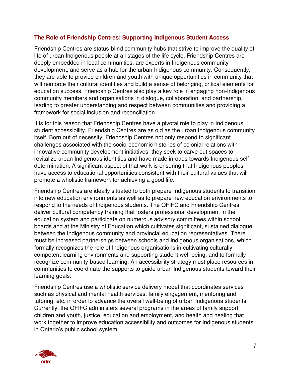#### **The Role of Friendship Centres: Supporting Indigenous Student Access**

Friendship Centres are status-blind community hubs that strive to improve the quality of life of urban Indigenous people at all stages of the life cycle. Friendship Centres are deeply embedded in local communities, are experts in Indigenous community development, and serve as a hub for the urban Indigenous community. Consequently, they are able to provide children and youth with unique opportunities in community that will reinforce their cultural identities and build a sense of belonging, critical elements for education success. Friendship Centres also play a key role in engaging non-Indigenous community members and organisations in dialogue, collaboration, and partnership, leading to greater understanding and respect between communities and providing a framework for social inclusion and reconciliation.

It is for this reason that Friendship Centres have a pivotal role to play in Indigenous student accessibility. Friendship Centres are as old as the urban Indigenous community itself. Born out of necessity, Friendship Centres not only respond to significant challenges associated with the socio-economic histories of colonial relations with innovative community development initiatives, they seek to carve out spaces to revitalize urban Indigenous identities and have made inroads towards Indigenous selfdetermination. A significant aspect of that work is ensuring that Indigenous peoples have access to educational opportunities consistent with their cultural values that will promote a wholistic framework for achieving a good life.

Friendship Centres are ideally situated to both prepare Indigenous students to transition into new education environments as well as to prepare new education environments to respond to the needs of Indigenous students. The OFIFC and Friendship Centres deliver cultural competency training that fosters professional development in the education system and participate on numerous advisory committees within school boards and at the Ministry of Education which cultivates significant, sustained dialogue between the Indigenous community and provincial education representatives. There must be increased partnerships between schools and Indigenous organisations, which formally recognizes the role of Indigenous organisations in cultivating culturally competent learning environments and supporting student well-being, and to formally recognize community-based learning. An accessibility strategy must place resources in communities to coordinate the supports to guide urban Indigenous students toward their learning goals.

Friendship Centres use a wholistic service delivery model that coordinates services such as physical and mental health services, family engagement, mentoring and tutoring, etc. in order to advance the overall well-being of urban Indigenous students. Currently, the OFIFC administers several programs in the areas of family support, children and youth, justice, education and employment, and health and healing that work together to improve education accessibility and outcomes for Indigenous students in Ontario's public school system.

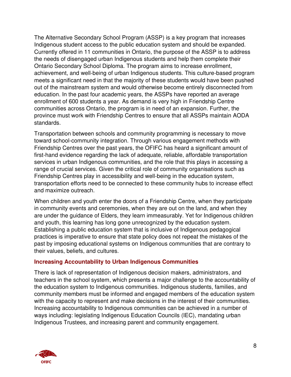The Alternative Secondary School Program (ASSP) is a key program that increases Indigenous student access to the public education system and should be expanded. Currently offered in 11 communities in Ontario, the purpose of the ASSP is to address the needs of disengaged urban Indigenous students and help them complete their Ontario Secondary School Diploma. The program aims to increase enrollment, achievement, and well-being of urban Indigenous students. This culture-based program meets a significant need in that the majority of these students would have been pushed out of the mainstream system and would otherwise become entirely disconnected from education. In the past four academic years, the ASSPs have reported an average enrollment of 600 students a year. As demand is very high in Friendship Centre communities across Ontario, the program is in need of an expansion. Further, the province must work with Friendship Centres to ensure that all ASSPs maintain AODA standards.

Transportation between schools and community programming is necessary to move toward school-community integration. Through various engagement methods with Friendship Centres over the past years, the OFIFC has heard a significant amount of first-hand evidence regarding the lack of adequate, reliable, affordable transportation services in urban Indigenous communities, and the role that this plays in accessing a range of crucial services. Given the critical role of community organisations such as Friendship Centres play in accessibility and well-being in the education system, transportation efforts need to be connected to these community hubs to increase effect and maximize outreach.

When children and youth enter the doors of a Friendship Centre, when they participate in community events and ceremonies, when they are out on the land, and when they are under the guidance of Elders, they learn immeasurably. Yet for Indigenous children and youth, this learning has long gone unrecognized by the education system. Establishing a public education system that is inclusive of Indigenous pedagogical practices is imperative to ensure that state policy does not repeat the mistakes of the past by imposing educational systems on Indigenous communities that are contrary to their values, beliefs, and cultures.

#### **Increasing Accountability to Urban Indigenous Communities**

There is lack of representation of Indigenous decision makers, administrators, and teachers in the school system, which presents a major challenge to the accountability of the education system to Indigenous communities. Indigenous students, families, and community members must be informed and engaged members of the education system with the capacity to represent and make decisions in the interest of their communities. Increasing accountability to Indigenous communities can be achieved in a number of ways including: legislating Indigenous Education Councils (IEC), mandating urban Indigenous Trustees, and increasing parent and community engagement.

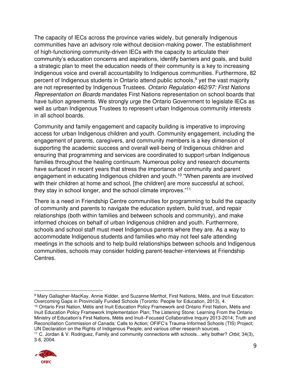The capacity of IECs across the province varies widely, but generally Indigenous communities have an advisory role without decision-making power. The establishment of high-functioning community-driven IECs with the capacity to articulate their community's education concerns and aspirations, identify barriers and goals, and build a strategic plan to meet the education needs of their community is a key to increasing Indigenous voice and overall accountability to Indigenous communities. Furthermore, 82 percent of Indigenous students in Ontario attend public schools,<sup>9</sup> yet the vast majority are not represented by Indigenous Trustees. *Ontario Regulation 462/97: First Nations Representation on Boards* mandates First Nations representation on school boards that have tuition agreements. We strongly urge the Ontario Government to legislate IECs as well as urban Indigenous Trustees to represent urban Indigenous community interests in all school boards.

Community and family engagement and capacity building is imperative to improving access for urban Indigenous children and youth. Community engagement, including the engagement of parents, caregivers, and community members is a key dimension of supporting the academic success and overall well-being of Indigenous children and ensuring that programming and services are coordinated to support urban Indigenous families throughout the healing continuum. Numerous policy and research documents have surfaced in recent years that stress the importance of community and parent engagement in educating Indigenous children and youth.<sup>10</sup> "When parents are involved with their children at home and school, [the children] are more successful at school, they stay in school longer, and the school climate improves."<sup>11</sup>

There is a need in Friendship Centre communities for programming to build the capacity of community and parents to navigate the education system, build trust, and repair relationships (both within families and between schools and community), and make informed choices on behalf of urban Indigenous children and youth. Furthermore, schools and school staff must meet Indigenous parents where they are. As a way to accommodate Indigenous students and families who may not feel safe attending meetings in the schools and to help build relationships between schools and Indigenous communities, schools may consider holding parent-teacher-interviews at Friendship Centres.

<sup>10</sup> Ontario First Nation, Métis and Inuit Education Policy Framework and Ontario First Nation, Métis and Inuit Education Policy Framework Implementation Plan; The Listening Stone: Learning From the Ontario Ministry of Education's First Nations, Métis and Inuit–Focused Collaborative Inquiry 2013-2014; Truth and Reconciliation Commission of Canada: Calls to Action; OFIFC's Trauma-Informed Schools (TIS) Project; UN Declaration on the Rights of Indigenous People; and various other research sources.

<sup>11</sup> C. Jordan & V. Rodriguez, Family and community connections with schools…why bother? *Orbit*, 34(3), 3-6, 2004.



<sup>9</sup> Mary Gallagher-MacKay, Annie Kidder, and Suzanne Merthot, First Nations, Métis, and Inuit Education: Overcoming Gaps in Provincially Funded Schools (Toronto: People for Education, 2013), 4.